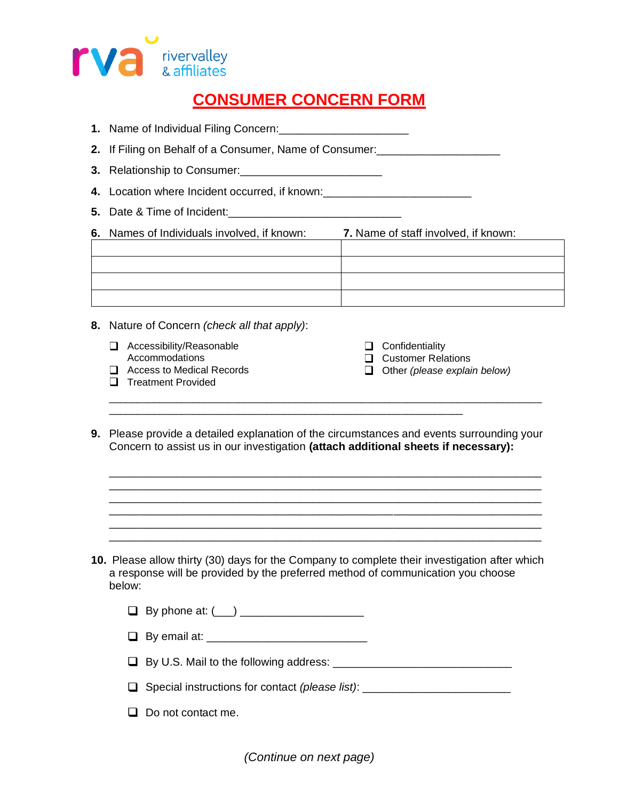

# **CONSUMER CONCERN FORM**

- **1.** Name of Individual Filing Concern:\_\_\_\_\_\_\_\_\_\_\_\_\_\_\_\_\_\_\_\_\_
- **2.** If Filing on Behalf of a Consumer, Name of Consumer:\_\_\_\_\_\_\_\_\_\_\_\_\_\_\_\_\_\_\_\_
- **3.** Relationship to Consumer:\_\_\_\_\_\_\_\_\_\_\_\_\_\_\_\_\_\_\_\_\_\_\_
- **4.** Location where Incident occurred, if known:\_\_\_\_\_\_\_\_\_\_\_\_\_\_\_\_\_\_\_\_\_\_\_\_
- **5.** Date & Time of Incident:\_\_\_\_\_\_\_\_\_\_\_\_\_\_\_\_\_\_\_\_\_\_\_\_\_\_\_\_

**6.** Names of Individuals involved, if known: **7.** Name of staff involved, if known:

- **8.** Nature of Concern *(check all that apply)*:
	- Accessibility/Reasonable Accommodations
	- □ Access to Medical Records

 $\Box$  Confidentiality **Q** Customer Relations Other *(please explain below)*

- **Treatment Provided**
- **9.** Please provide a detailed explanation of the circumstances and events surrounding your Concern to assist us in our investigation **(attach additional sheets if necessary):**

\_\_\_\_\_\_\_\_\_\_\_\_\_\_\_\_\_\_\_\_\_\_\_\_\_\_\_\_\_\_\_\_\_\_\_\_\_\_\_\_\_\_\_\_\_\_\_\_\_\_\_\_\_\_\_\_\_\_\_\_\_\_\_\_\_\_\_\_\_\_ \_\_\_\_\_\_\_\_\_\_\_\_\_\_\_\_\_\_\_\_\_\_\_\_\_\_\_\_\_\_\_\_\_\_\_\_\_\_\_\_\_\_\_\_\_\_\_\_\_\_\_\_\_\_\_\_\_\_\_\_\_\_\_\_\_\_\_\_\_\_ \_\_\_\_\_\_\_\_\_\_\_\_\_\_\_\_\_\_\_\_\_\_\_\_\_\_\_\_\_\_\_\_\_\_\_\_\_\_\_\_\_\_\_\_\_\_\_\_\_\_\_\_\_\_\_\_\_\_\_\_\_\_\_\_\_\_\_\_\_\_ \_\_\_\_\_\_\_\_\_\_\_\_\_\_\_\_\_\_\_\_\_\_\_\_\_\_\_\_\_\_\_\_\_\_\_\_\_\_\_\_\_\_\_\_\_\_\_\_\_\_\_\_\_\_\_\_\_\_\_\_\_\_\_\_\_\_\_\_\_\_ \_\_\_\_\_\_\_\_\_\_\_\_\_\_\_\_\_\_\_\_\_\_\_\_\_\_\_\_\_\_\_\_\_\_\_\_\_\_\_\_\_\_\_\_\_\_\_\_\_\_\_\_\_\_\_\_\_\_\_\_\_\_\_\_\_\_\_\_\_\_ \_\_\_\_\_\_\_\_\_\_\_\_\_\_\_\_\_\_\_\_\_\_\_\_\_\_\_\_\_\_\_\_\_\_\_\_\_\_\_\_\_\_\_\_\_\_\_\_\_\_\_\_\_\_\_\_\_\_\_\_\_\_\_\_\_\_\_\_\_\_

\_\_\_\_\_\_\_\_\_\_\_\_\_\_\_\_\_\_\_\_\_\_\_\_\_\_\_\_\_\_\_\_\_\_\_\_\_\_\_\_\_\_\_\_\_\_\_\_\_\_\_\_\_\_\_\_\_\_\_\_\_\_\_

\_\_\_\_\_\_\_\_\_\_\_\_\_\_\_\_\_\_\_\_\_\_\_\_\_\_\_\_\_\_\_\_\_\_\_\_\_\_\_\_\_\_\_\_\_\_\_\_\_\_\_\_\_\_\_\_\_\_\_\_\_\_\_\_\_\_\_\_\_\_\_\_\_\_\_\_\_

**10.** Please allow thirty (30) days for the Company to complete their investigation after which a response will be provided by the preferred method of communication you choose below:

| $\Box$ By phone at: $(\underline{\phantom{A}})$ |  |  |
|-------------------------------------------------|--|--|
|                                                 |  |  |

- $\Box$  By email at:
- By U.S. Mail to the following address: \_\_\_\_\_\_\_\_\_\_\_\_\_\_\_\_\_\_\_\_\_\_\_\_\_\_\_\_\_
- Special instructions for contact *(please list)*: \_\_\_\_\_\_\_\_\_\_\_\_\_\_\_\_\_\_\_\_\_\_\_\_
- $\Box$  Do not contact me.

*(Continue on next page)*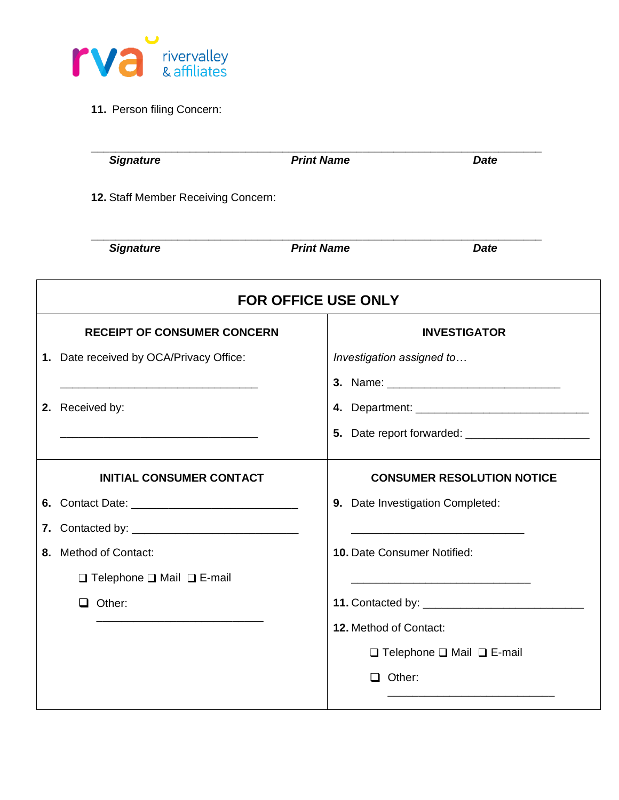

**11.** Person filing Concern:

|                            | <b>Signature</b>                           | <b>Print Name</b>      | <b>Date</b>                                |  |  |
|----------------------------|--------------------------------------------|------------------------|--------------------------------------------|--|--|
|                            | 12. Staff Member Receiving Concern:        |                        |                                            |  |  |
|                            | <b>Signature</b>                           | <b>Print Name</b>      | <b>Date</b>                                |  |  |
| <b>FOR OFFICE USE ONLY</b> |                                            |                        |                                            |  |  |
|                            | <b>RECEIPT OF CONSUMER CONCERN</b>         |                        | <b>INVESTIGATOR</b>                        |  |  |
|                            | 1. Date received by OCA/Privacy Office:    |                        | Investigation assigned to                  |  |  |
|                            |                                            |                        |                                            |  |  |
|                            | 2. Received by:                            |                        |                                            |  |  |
|                            |                                            |                        |                                            |  |  |
|                            | <b>INITIAL CONSUMER CONTACT</b>            |                        | <b>CONSUMER RESOLUTION NOTICE</b>          |  |  |
|                            |                                            |                        | 9. Date Investigation Completed:           |  |  |
|                            |                                            |                        |                                            |  |  |
|                            | 8. Method of Contact:                      |                        | 10. Date Consumer Notified:                |  |  |
|                            | $\Box$ Telephone $\Box$ Mail $\Box$ E-mail |                        |                                            |  |  |
|                            | $\Box$ Other:                              |                        |                                            |  |  |
|                            |                                            | 12. Method of Contact: |                                            |  |  |
|                            |                                            |                        | $\Box$ Telephone $\Box$ Mail $\Box$ E-mail |  |  |
|                            |                                            | $\Box$ Other:          |                                            |  |  |
|                            |                                            |                        |                                            |  |  |